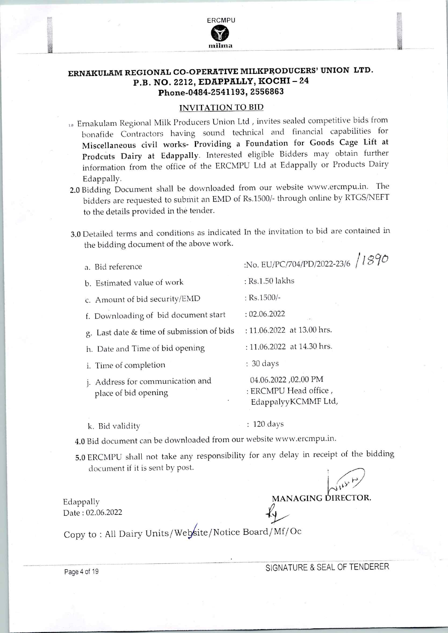

## ERNAKULAM REGIONAL CO-OPERATIVE MILKPRODUCERS' UNION LTD. P.B. NO. 2212, EDAPPALLY, KOCHI-24 Phone-0484-2541193, 2556863

## INVITATION TO BID

- 10 Ernakulam Regional Milk Producers Union Ltd, invites sealed competitive bids from bonafide Contractors having sound technical and financial capabilities for Miscellaneous civil works- Providing a Foundation for Goods Cage Lift at Prodcuts Dairy at Edappally. Interested eligible Bidders may obtain further information from the office of the ERCMPU Ltd at Edappally or Products Dairy Edappally.
- 2.0 Bidding Document shall be downloaded from our website www.ercmpu.in. The bidders are requested to submit an EMD of Rs.1500/- through online by RTGS/NEFT to the details provided in the tender.
- 3.0 Detailed terms and conditions as indicated ln the invitation to bid are contained in the bidding document of the above work.

| a. Bid reference                                         | 11872<br>:No. EU/PC/704/PD/2022-23/6                                |
|----------------------------------------------------------|---------------------------------------------------------------------|
| b. Estimated value of work                               | : Rs.1.50 lakhs                                                     |
| c. Amount of bid security/EMD                            | $:$ Rs.1500/-                                                       |
| f. Downloading of bid document start                     | : 02.06.2022                                                        |
| g. Last date & time of submission of bids                | : 11.06.2022 at 13.00 hrs.                                          |
| h. Date and Time of bid opening                          | : 11.06.2022 at 14.30 hrs.                                          |
| i. Time of completion                                    | $: 30 \text{ days}$                                                 |
| j. Address for communication and<br>place of bid opening | 04.06.2022,02.00 PM<br>: ERCMPU Head office,<br>EdappalyyKCMMF Ltd, |

k. Bid validity

: 120 days

4.0 Bid document can be downloaded from our website www.ercmpu.in.

5.0 ERCMPU shall not take any responsibility for any delay in receipt of the bidding document if it is sent by post.

Edappally Date: 02.06.2022

 $\frac{1}{2}$  , and the contract of the contract of the contract of the contract of the contract of the contract of the contract of the contract of the contract of the contract of the contract of the contract of the contract

Copy to : All Dairy Units/Website/Notice Board/Mf/Oc

Page 4 of 19 SIGNATURE & SEAL OF TENDERER

MANAGING DIRECTOR.